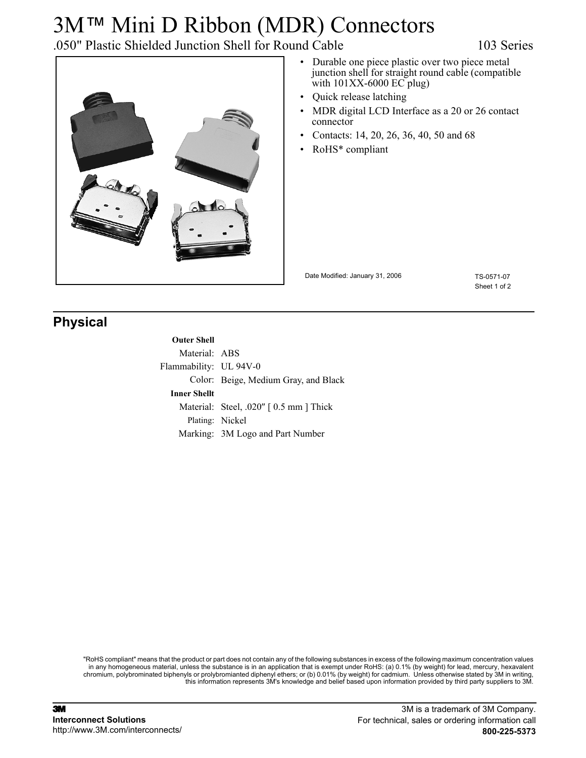# 3M™ Mini D Ribbon (MDR) Connectors

## .050" Plastic Shielded Junction Shell for Round Cable 103 Series



- Durable one piece plastic over two piece metal junction shell for straight round cable (compatible with 101XX-6000 EC plug)
- Quick release latching
- MDR digital LCD Interface as a 20 or 26 contact connector
- Contacts: 14, 20, 26, 36, 40, 50 and 68
- RoHS\* compliant

Date Modified: January 31, 2006

TS-0571-07 Sheet 1 of 2

### **Physical**

### **Outer Shell**

Material: ABS Flammability: UL 94V-0 Color: Beige, Medium Gray, and Black **Inner Shellt** Material: Steel, .020" [0.5 mm ] Thick Plating: Nickel Marking: 3M Logo and Part Number

"RoHS compliant" means that the product or part does not contain any of the following substances in excess of the following maximum concentration values in any homogeneous material, unless the substance is in an application that is exempt under RoHS: (a) 0.1% (by weight) for lead, mercury, hexavalent chromium, polybrominated biphenyls or prolybromianted diphenyl ethers; or (b) 0.01% (by weight) for cadmium. Unless otherwise stated by 3M in writing, this information represents 3M's knowledge and belief based upon information provided by third party suppliers to 3M.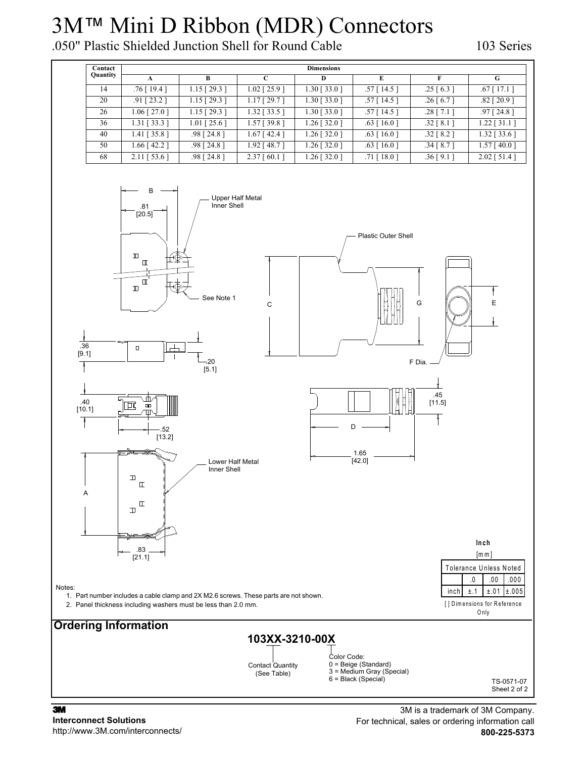# 3M™ Mini D Ribbon (MDR) Connectors

.050" Plastic Shielded Junction Shell for Round Cable 103 Series